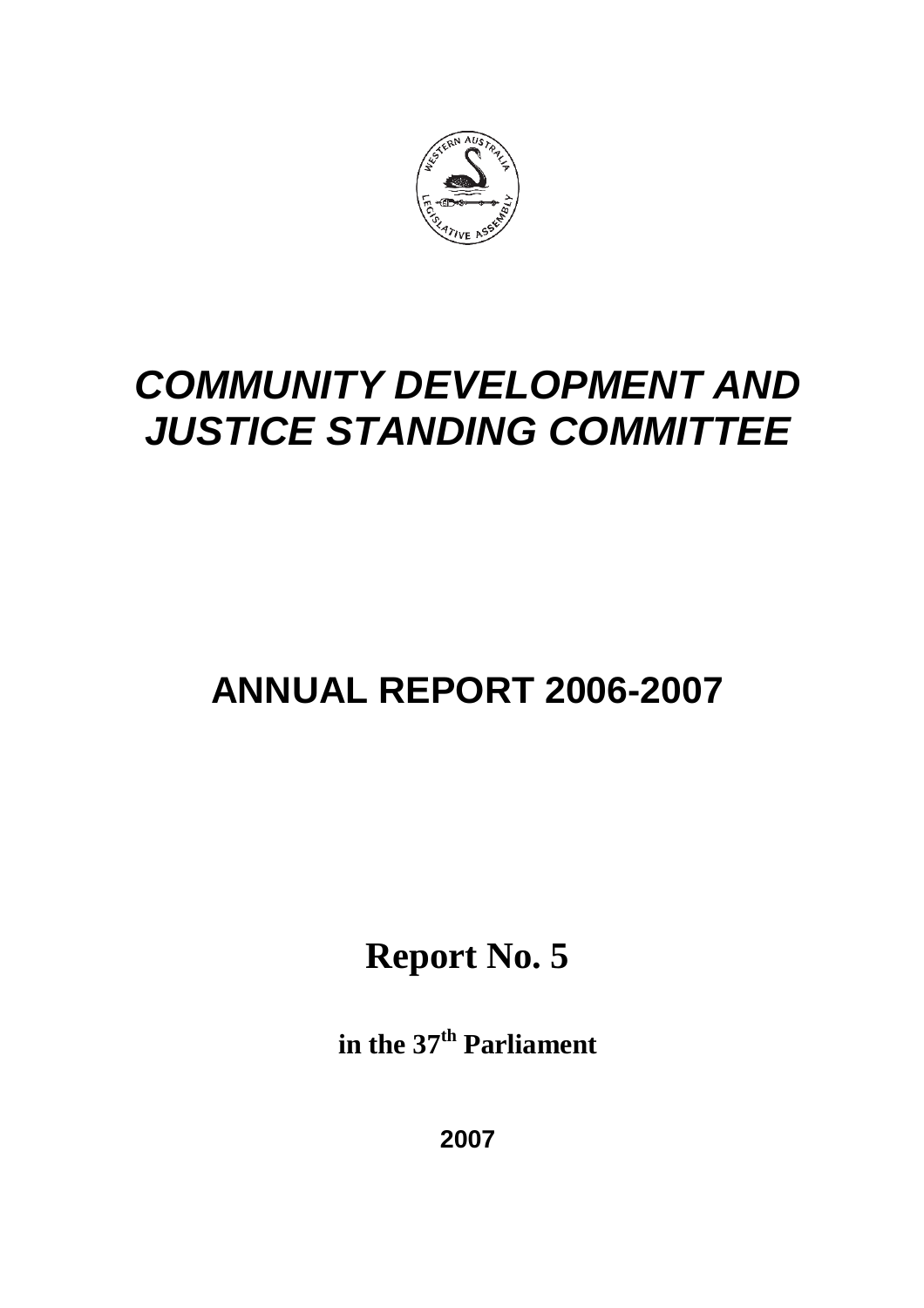

# **ANNUAL REPORT 2006-2007**

**Report No. 5**

**in the 37th Parliament**

**2007**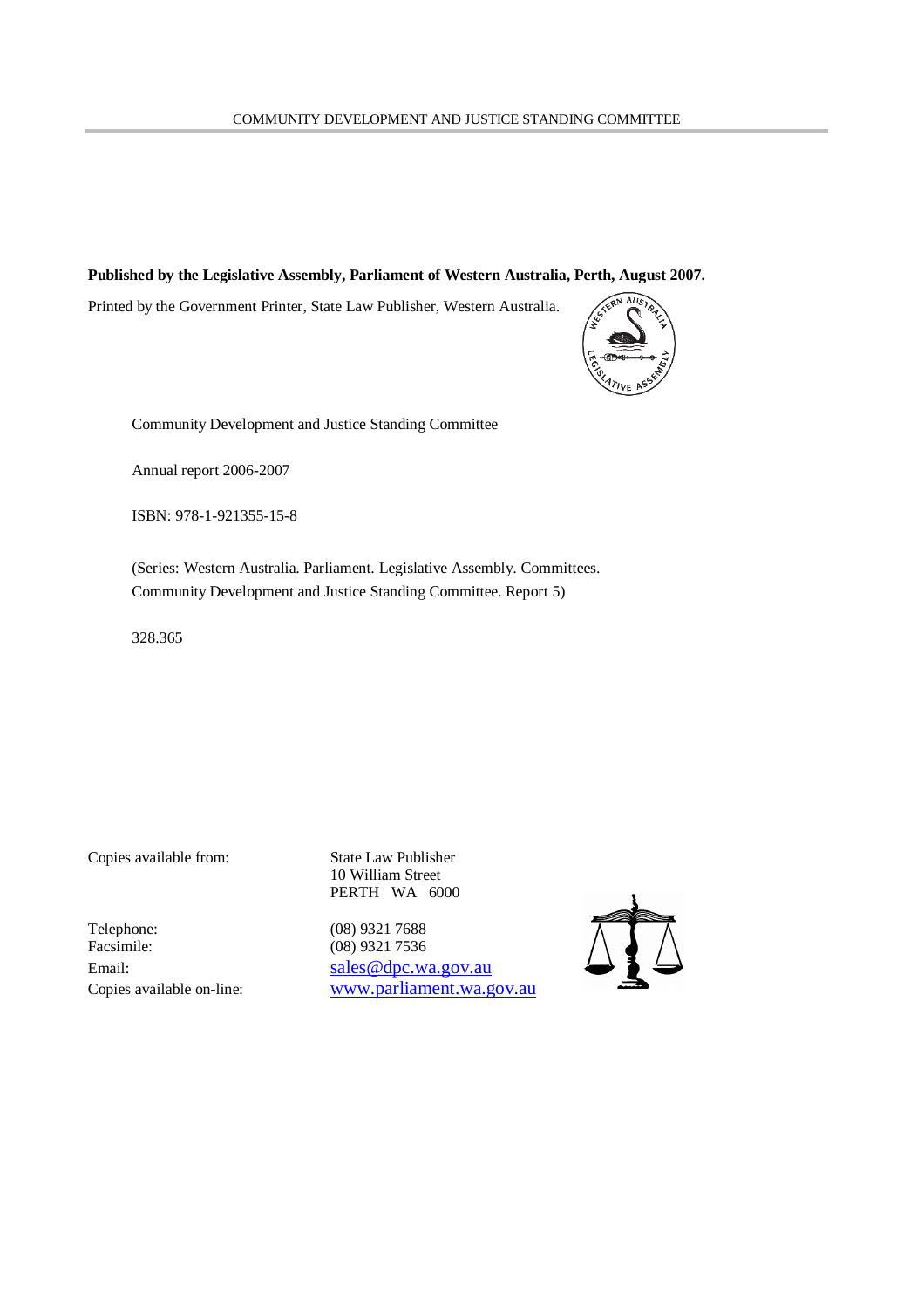#### **Published by the Legislative Assembly, Parliament of Western Australia, Perth, August 2007.**

Printed by the Government Printer, State Law Publisher, Western Australia.



Community Development and Justice Standing Committee

Annual report 2006-2007

ISBN: 978-1-921355-15-8

(Series: Western Australia. Parliament. Legislative Assembly. Committees. Community Development and Justice Standing Committee. Report 5)

328.365

Copies available from: State Law Publisher

Telephone: (08) 9321 7688<br>Facsimile: (08) 9321 7536

10 William Street PERTH WA 6000

(08) 9321 7536 Email: sales @dpc.wa.gov.au Copies available on-line: www.parliament.wa.gov.au

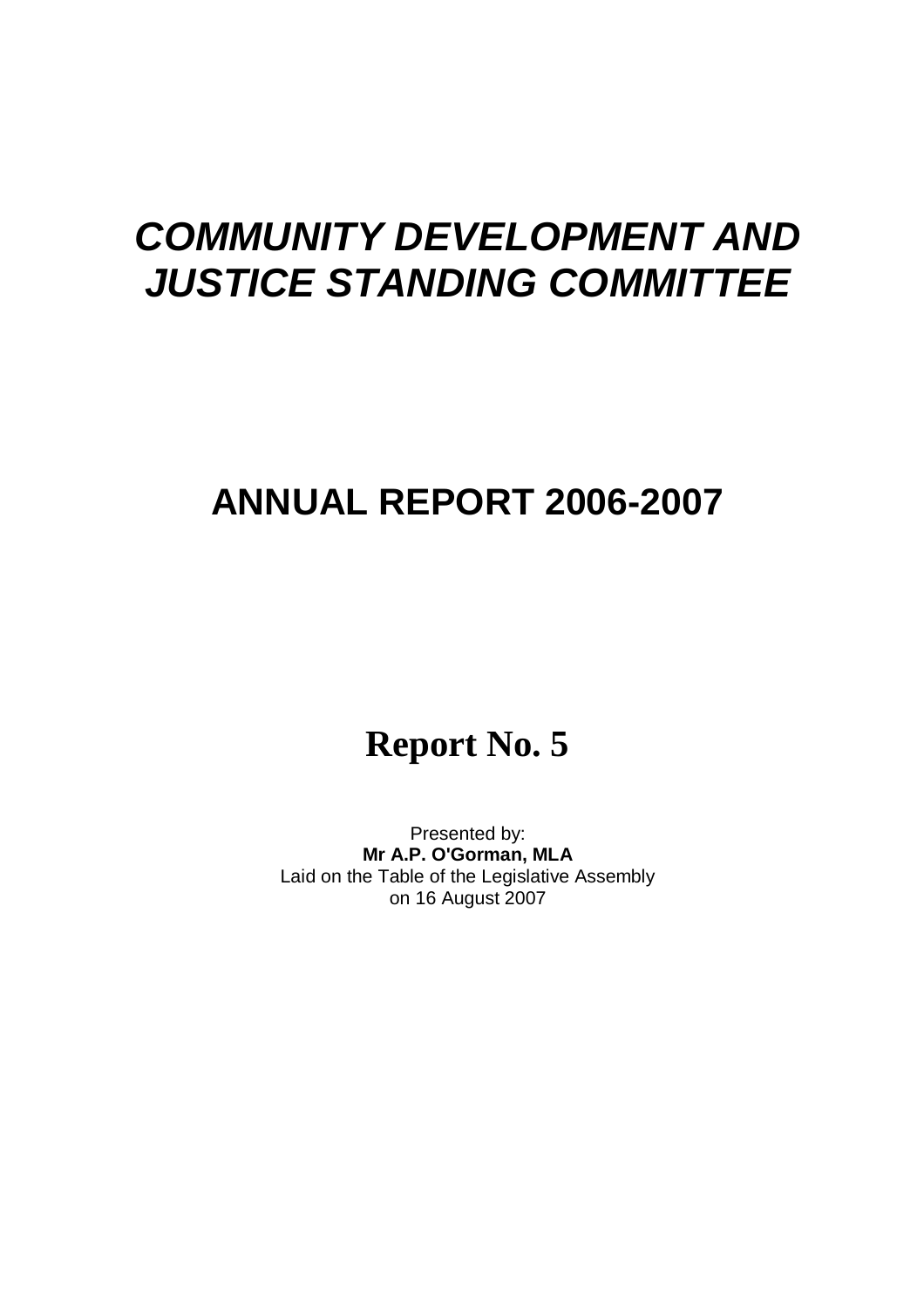## **ANNUAL REPORT 2006-2007**

## **Report No. 5**

Presented by: **Mr A.P. O'Gorman, MLA** Laid on the Table of the Legislative Assembly on 16 August 2007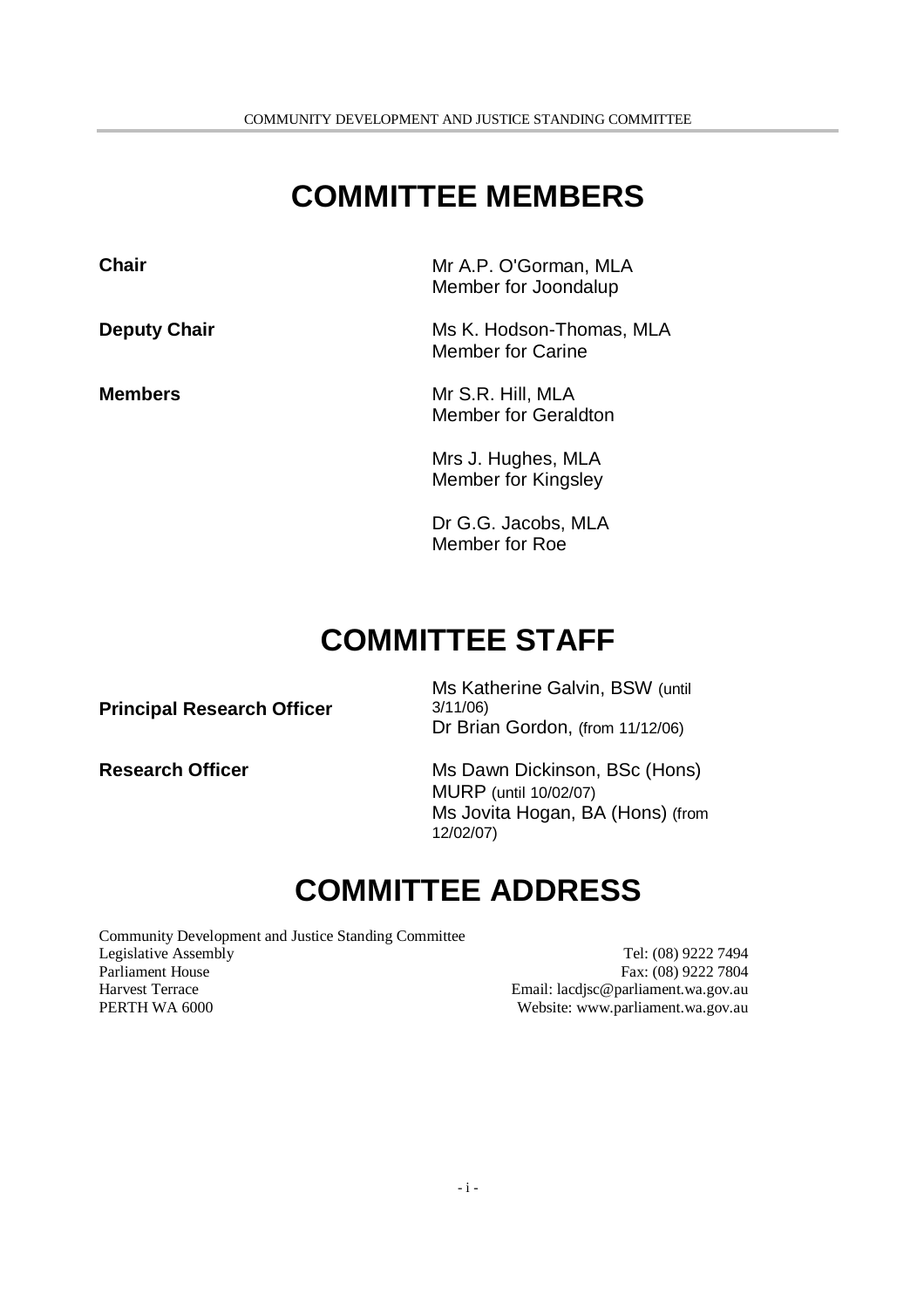## **COMMITTEE MEMBERS**

**Chair** Mr A.P. O'Gorman, MLA Member for Joondalup

**Deputy Chair** Ms K. Hodson-Thomas, MLA Member for Carine

**Members** Mr S.R. Hill, MLA Member for Geraldton

> Mrs J. Hughes, MLA Member for Kingsley

Dr G.G. Jacobs, MLA Member for Roe

## **COMMITTEE STAFF**

**Principal Research Officer**

Ms Katherine Galvin, BSW (until 3/11/06) Dr Brian Gordon, (from 11/12/06)

**Research Officer** Ms Dawn Dickinson, BSc (Hons) MURP (until 10/02/07) Ms Jovita Hogan, BA (Hons) (from 12/02/07)

## **COMMITTEE ADDRESS**

Community Development and Justice Standing Committee Legislative Assembly Tel: (08) 9222 7494 Parliament House Fax: (08) 9222 7804 Harvest Terrace Email: lacdjsc@parliament.wa.gov.au PERTH WA 6000 **Website:** www.parliament.wa.gov.au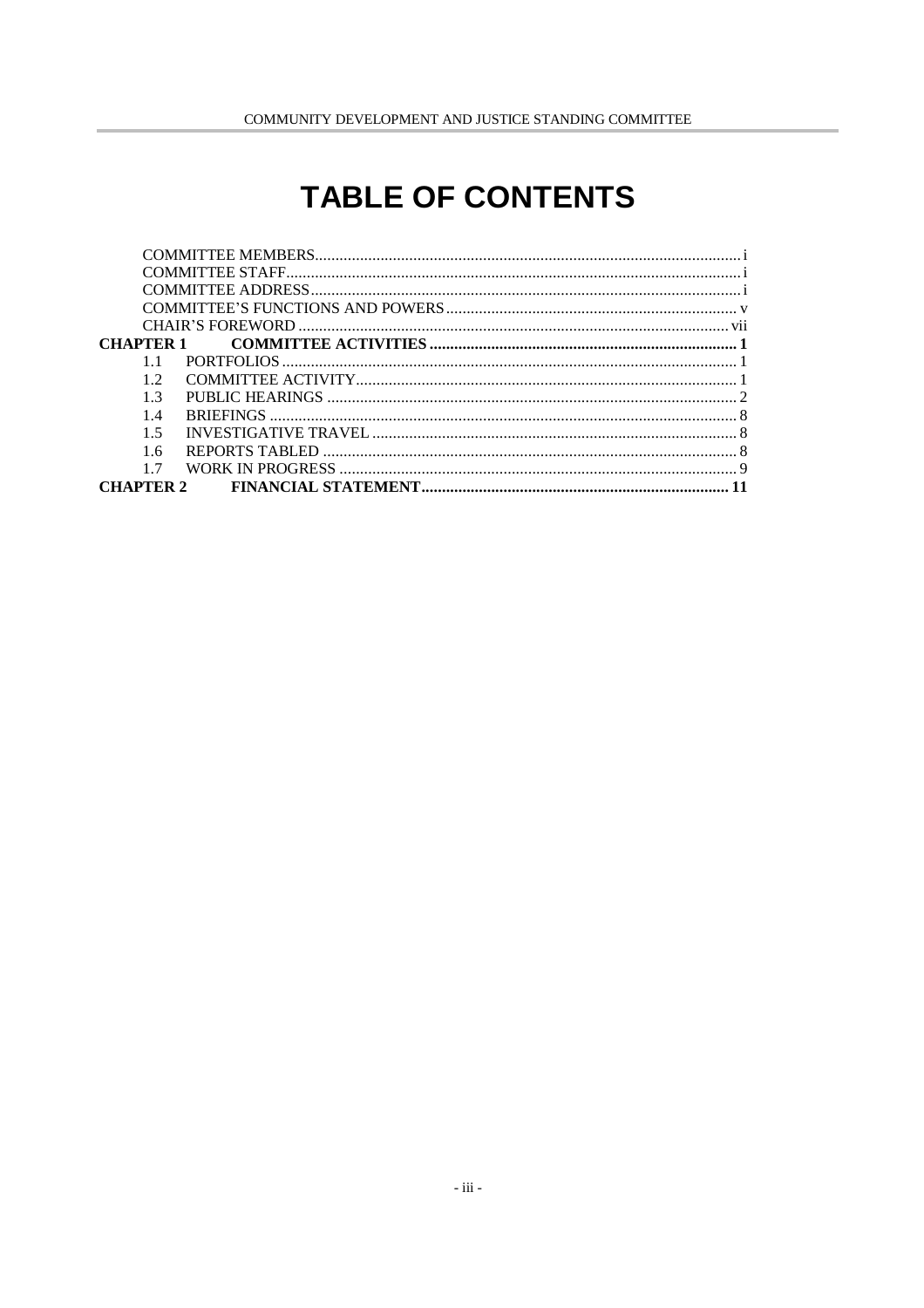## **TABLE OF CONTENTS**

| CHAPTER 1      |  |
|----------------|--|
|                |  |
| 12             |  |
| 1 <sup>3</sup> |  |
| 14             |  |
| 15             |  |
| 16             |  |
|                |  |
|                |  |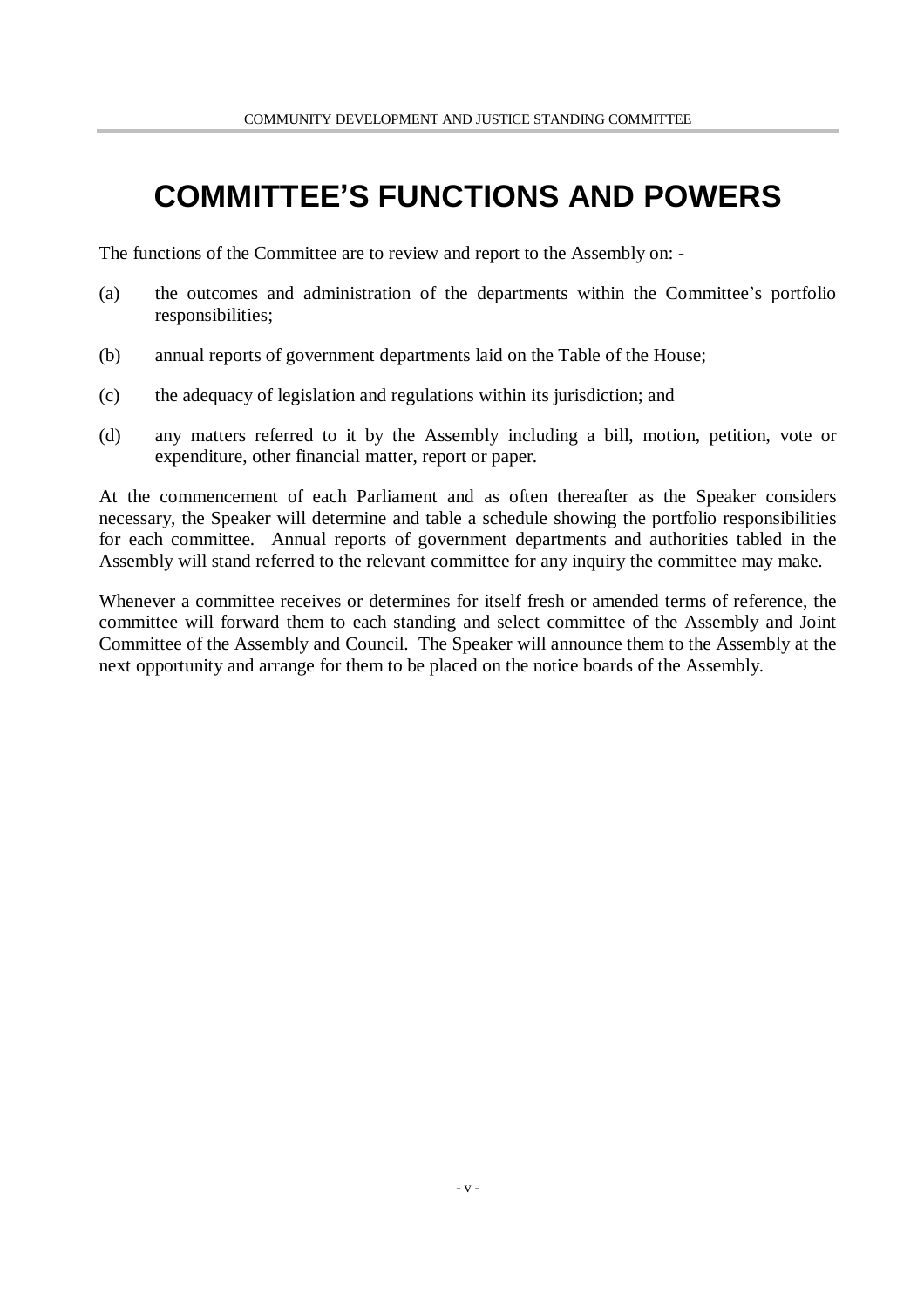## **COMMITTEE'S FUNCTIONS AND POWERS**

The functions of the Committee are to review and report to the Assembly on: -

- (a) the outcomes and administration of the departments within the Committee's portfolio responsibilities;
- (b) annual reports of government departments laid on the Table of the House;
- (c) the adequacy of legislation and regulations within its jurisdiction; and
- (d) any matters referred to it by the Assembly including a bill, motion, petition, vote or expenditure, other financial matter, report or paper.

At the commencement of each Parliament and as often thereafter as the Speaker considers necessary, the Speaker will determine and table a schedule showing the portfolio responsibilities for each committee. Annual reports of government departments and authorities tabled in the Assembly will stand referred to the relevant committee for any inquiry the committee may make.

Whenever a committee receives or determines for itself fresh or amended terms of reference, the committee will forward them to each standing and select committee of the Assembly and Joint Committee of the Assembly and Council. The Speaker will announce them to the Assembly at the next opportunity and arrange for them to be placed on the notice boards of the Assembly.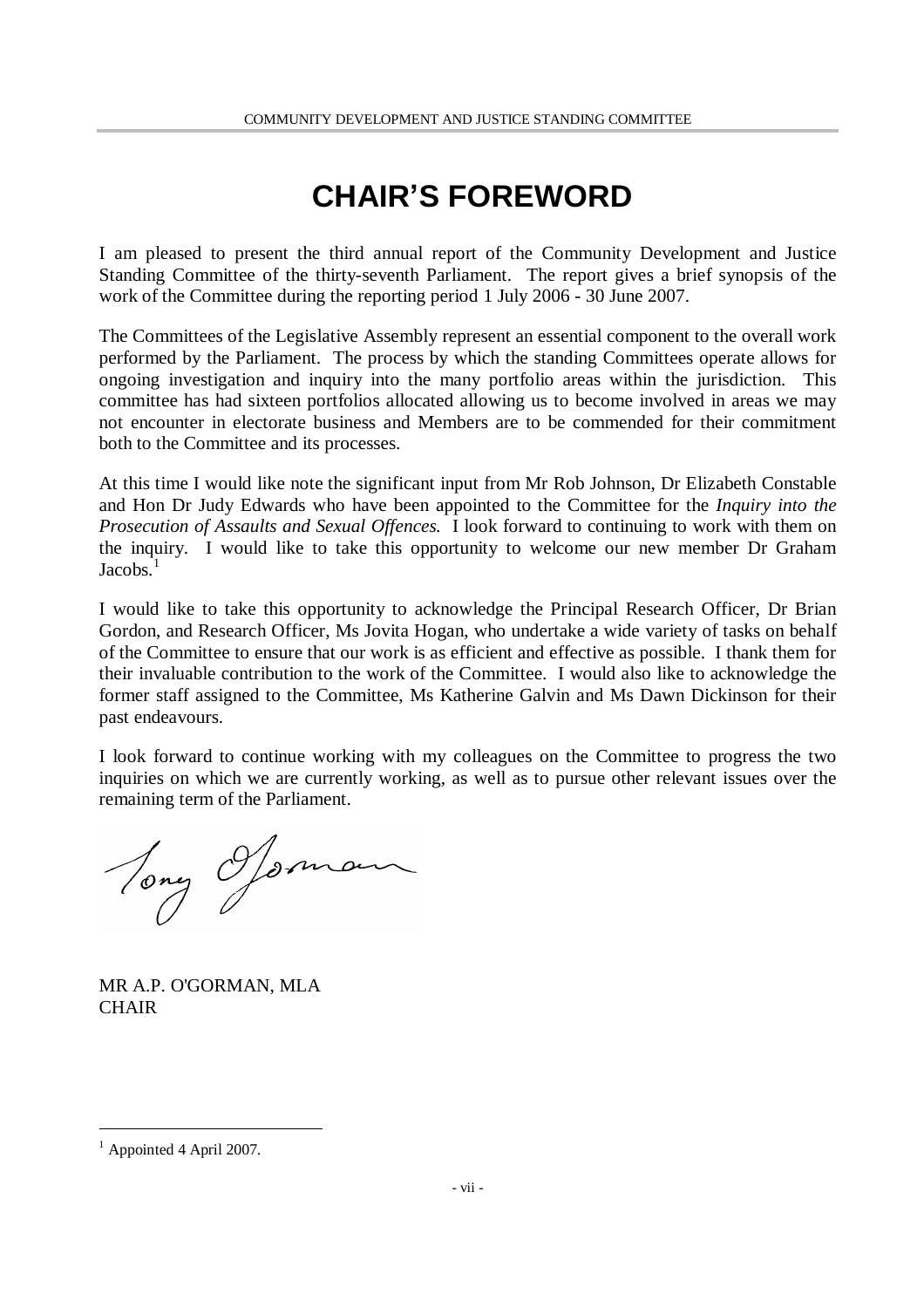## **CHAIR'S FOREWORD**

I am pleased to present the third annual report of the Community Development and Justice Standing Committee of the thirty-seventh Parliament. The report gives a brief synopsis of the work of the Committee during the reporting period 1 July 2006 - 30 June 2007.

The Committees of the Legislative Assembly represent an essential component to the overall work performed by the Parliament. The process by which the standing Committees operate allows for ongoing investigation and inquiry into the many portfolio areas within the jurisdiction. This committee has had sixteen portfolios allocated allowing us to become involved in areas we may not encounter in electorate business and Members are to be commended for their commitment both to the Committee and its processes.

At this time I would like note the significant input from Mr Rob Johnson, Dr Elizabeth Constable and Hon Dr Judy Edwards who have been appointed to the Committee for the *Inquiry into the Prosecution of Assaults and Sexual Offences.* I look forward to continuing to work with them on the inquiry. I would like to take this opportunity to welcome our new member Dr Graham  $Jacobs.$ <sup>1</sup>

I would like to take this opportunity to acknowledge the Principal Research Officer, Dr Brian Gordon, and Research Officer, Ms Jovita Hogan, who undertake a wide variety of tasks on behalf of the Committee to ensure that our work is as efficient and effective as possible. I thank them for their invaluable contribution to the work of the Committee. I would also like to acknowledge the former staff assigned to the Committee, Ms Katherine Galvin and Ms Dawn Dickinson for their past endeavours.

I look forward to continue working with my colleagues on the Committee to progress the two inquiries on which we are currently working, as well as to pursue other relevant issues over the remaining term of the Parliament.

Tony Ofsman

MR A.P. O'GORMAN, MLA **CHAIR** 

<sup>&</sup>lt;sup>1</sup> Appointed 4 April 2007.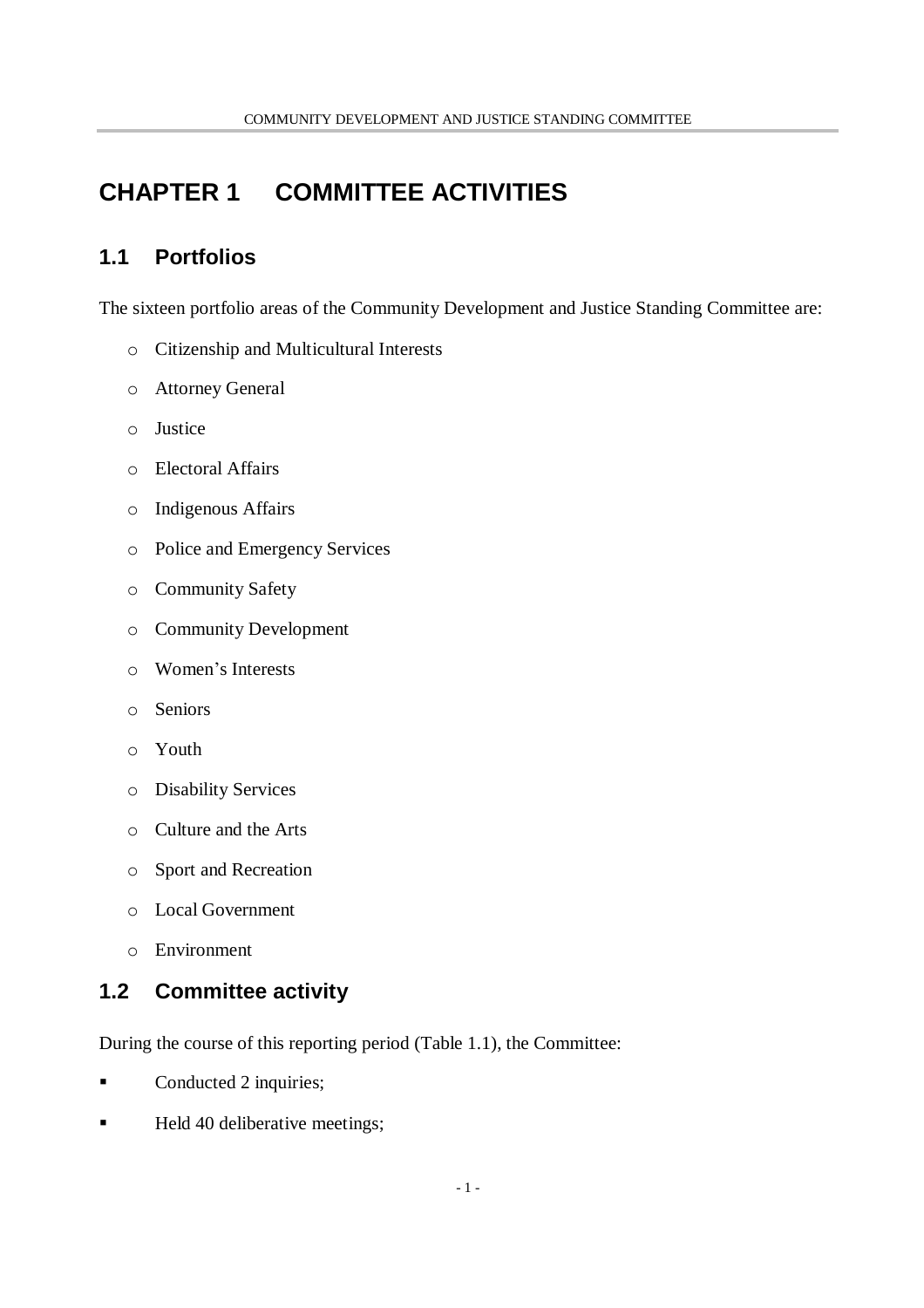## **CHAPTER 1 COMMITTEE ACTIVITIES**

### **1.1 Portfolios**

The sixteen portfolio areas of the Community Development and Justice Standing Committee are:

- o Citizenship and Multicultural Interests
- o Attorney General
- o Justice
- o Electoral Affairs
- o Indigenous Affairs
- o Police and Emergency Services
- o Community Safety
- o Community Development
- o Women's Interests
- o Seniors
- o Youth
- o Disability Services
- o Culture and the Arts
- o Sport and Recreation
- o Local Government
- o Environment

### **1.2 Committee activity**

During the course of this reporting period (Table 1.1), the Committee:

- Conducted 2 inquiries;
- Held 40 deliberative meetings;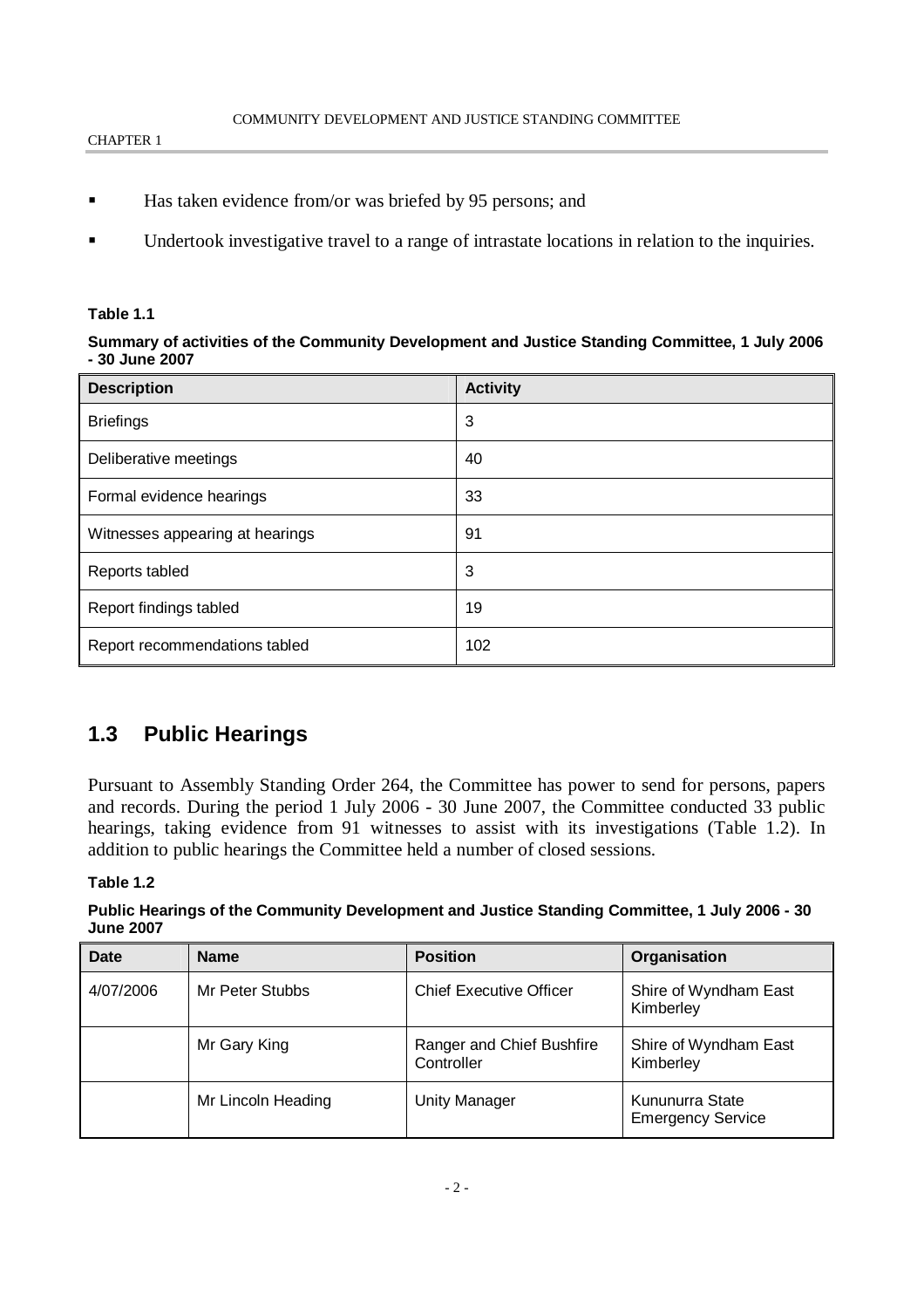- Has taken evidence from/or was briefed by 95 persons; and
- Undertook investigative travel to a range of intrastate locations in relation to the inquiries.

#### **Table 1.1**

#### **Summary of activities of the Community Development and Justice Standing Committee, 1 July 2006 - 30 June 2007**

| <b>Description</b>              | <b>Activity</b> |
|---------------------------------|-----------------|
| <b>Briefings</b>                | 3               |
| Deliberative meetings           | 40              |
| Formal evidence hearings        | 33              |
| Witnesses appearing at hearings | 91              |
| Reports tabled                  | 3               |
| Report findings tabled          | 19              |
| Report recommendations tabled   | 102             |

#### **1.3 Public Hearings**

Pursuant to Assembly Standing Order 264, the Committee has power to send for persons, papers and records. During the period 1 July 2006 - 30 June 2007, the Committee conducted 33 public hearings, taking evidence from 91 witnesses to assist with its investigations (Table 1.2). In addition to public hearings the Committee held a number of closed sessions.

#### **Table 1.2**

#### **Public Hearings of the Community Development and Justice Standing Committee, 1 July 2006 - 30 June 2007**

| Date      | <b>Name</b>        | <b>Position</b>                         | Organisation                                |
|-----------|--------------------|-----------------------------------------|---------------------------------------------|
| 4/07/2006 | Mr Peter Stubbs    | <b>Chief Executive Officer</b>          | Shire of Wyndham East<br>Kimberley          |
|           | Mr Gary King       | Ranger and Chief Bushfire<br>Controller | Shire of Wyndham East<br>Kimberley          |
|           | Mr Lincoln Heading | <b>Unity Manager</b>                    | Kununurra State<br><b>Emergency Service</b> |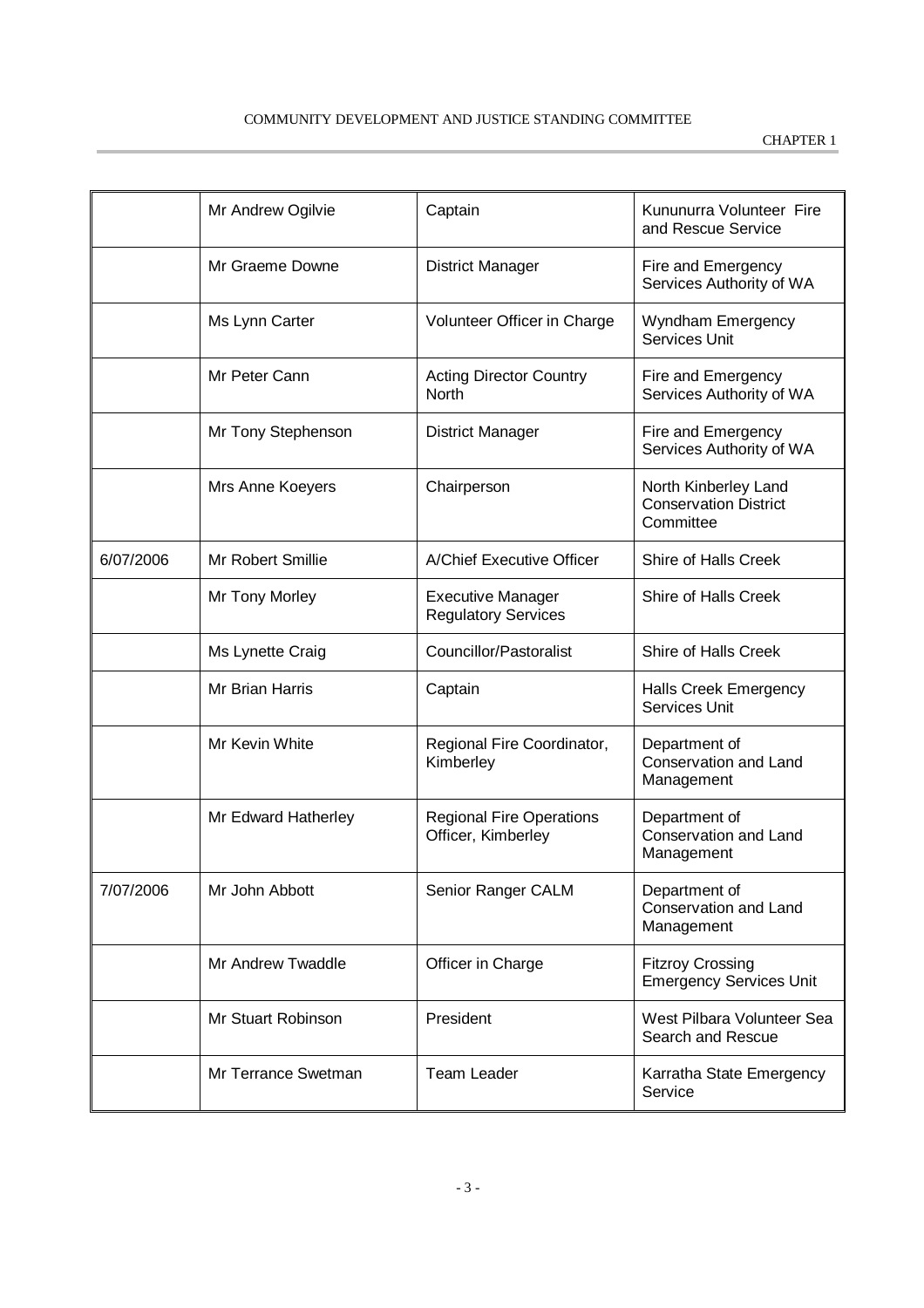|           | Mr Andrew Ogilvie   | Captain                                                | Kununurra Volunteer Fire<br>and Rescue Service                    |
|-----------|---------------------|--------------------------------------------------------|-------------------------------------------------------------------|
|           | Mr Graeme Downe     | <b>District Manager</b>                                | Fire and Emergency<br>Services Authority of WA                    |
|           | Ms Lynn Carter      | Volunteer Officer in Charge                            | Wyndham Emergency<br><b>Services Unit</b>                         |
|           | Mr Peter Cann       | <b>Acting Director Country</b><br>North                | Fire and Emergency<br>Services Authority of WA                    |
|           | Mr Tony Stephenson  | <b>District Manager</b>                                | Fire and Emergency<br>Services Authority of WA                    |
|           | Mrs Anne Koeyers    | Chairperson                                            | North Kinberley Land<br><b>Conservation District</b><br>Committee |
| 6/07/2006 | Mr Robert Smillie   | A/Chief Executive Officer                              | Shire of Halls Creek                                              |
|           | Mr Tony Morley      | <b>Executive Manager</b><br><b>Regulatory Services</b> | Shire of Halls Creek                                              |
|           | Ms Lynette Craig    | Councillor/Pastoralist                                 | Shire of Halls Creek                                              |
|           | Mr Brian Harris     | Captain                                                | <b>Halls Creek Emergency</b><br>Services Unit                     |
|           | Mr Kevin White      | Regional Fire Coordinator,<br>Kimberley                | Department of<br>Conservation and Land<br>Management              |
|           | Mr Edward Hatherley | <b>Regional Fire Operations</b><br>Officer, Kimberley  | Department of<br>Conservation and Land<br>Management              |
| 7/07/2006 | Mr John Abbott      | Senior Ranger CALM                                     | Department of<br>Conservation and Land<br>Management              |
|           | Mr Andrew Twaddle   | Officer in Charge                                      | <b>Fitzroy Crossing</b><br><b>Emergency Services Unit</b>         |
|           | Mr Stuart Robinson  | President                                              | West Pilbara Volunteer Sea<br>Search and Rescue                   |
|           | Mr Terrance Swetman | <b>Team Leader</b>                                     | Karratha State Emergency<br>Service                               |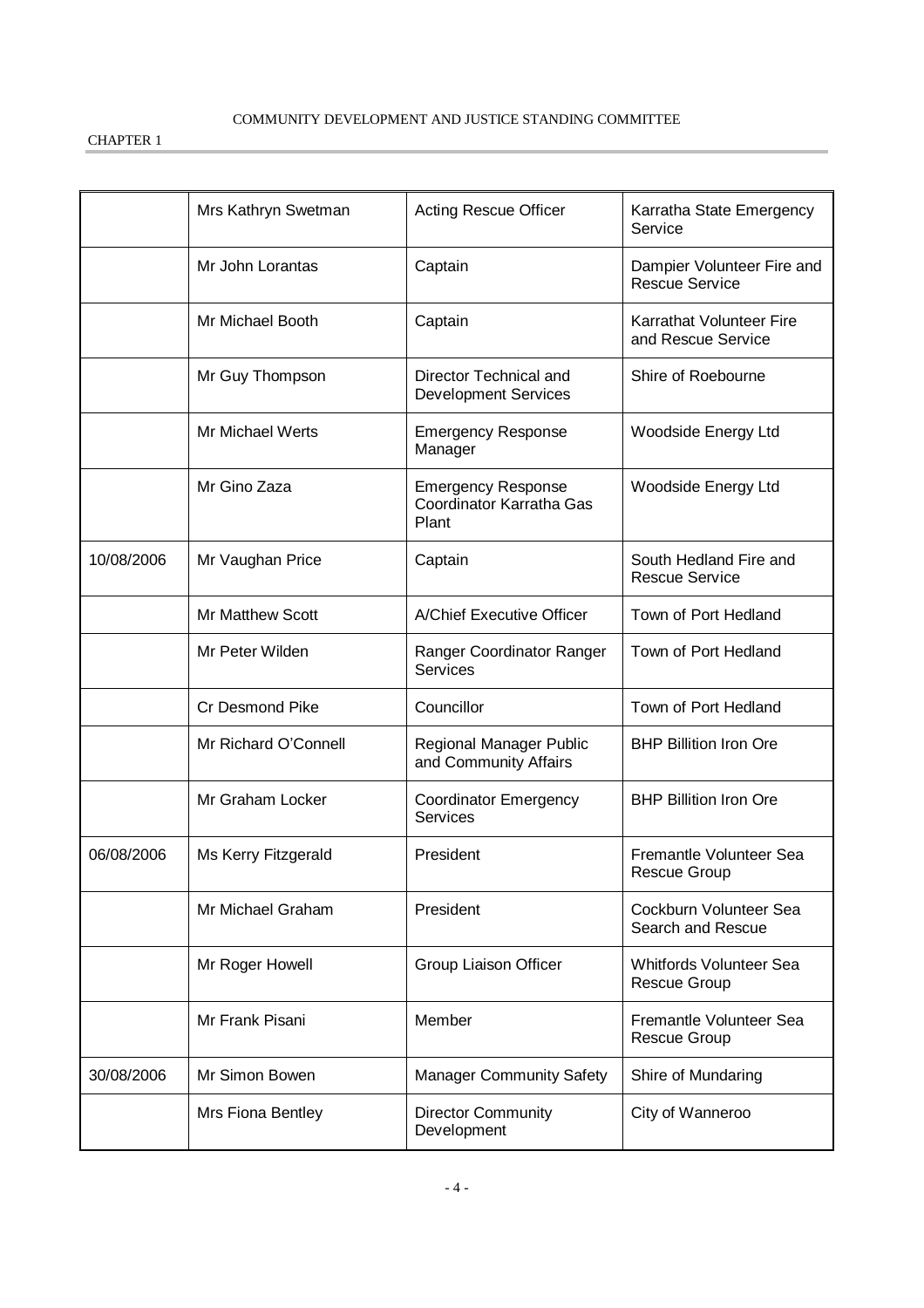|            | Mrs Kathryn Swetman     | <b>Acting Rescue Officer</b>                                   | Karratha State Emergency<br>Service                   |
|------------|-------------------------|----------------------------------------------------------------|-------------------------------------------------------|
|            | Mr John Lorantas        | Captain                                                        | Dampier Volunteer Fire and<br><b>Rescue Service</b>   |
|            | Mr Michael Booth        | Captain                                                        | Karrathat Volunteer Fire<br>and Rescue Service        |
|            | Mr Guy Thompson         | Director Technical and<br><b>Development Services</b>          | Shire of Roebourne                                    |
|            | Mr Michael Werts        | <b>Emergency Response</b><br>Manager                           | Woodside Energy Ltd                                   |
|            | Mr Gino Zaza            | <b>Emergency Response</b><br>Coordinator Karratha Gas<br>Plant | Woodside Energy Ltd                                   |
| 10/08/2006 | Mr Vaughan Price        | Captain                                                        | South Hedland Fire and<br><b>Rescue Service</b>       |
|            | <b>Mr Matthew Scott</b> | A/Chief Executive Officer                                      | Town of Port Hedland                                  |
|            | Mr Peter Wilden         | Ranger Coordinator Ranger<br>Services                          | Town of Port Hedland                                  |
|            | Cr Desmond Pike         | Councillor                                                     | Town of Port Hedland                                  |
|            | Mr Richard O'Connell    | Regional Manager Public<br>and Community Affairs               | <b>BHP Billition Iron Ore</b>                         |
|            | Mr Graham Locker        | <b>Coordinator Emergency</b><br><b>Services</b>                | <b>BHP Billition Iron Ore</b>                         |
| 06/08/2006 | Ms Kerry Fitzgerald     | President                                                      | Fremantle Volunteer Sea<br><b>Rescue Group</b>        |
|            | Mr Michael Graham       | President                                                      | Cockburn Volunteer Sea<br>Search and Rescue           |
|            | Mr Roger Howell         | Group Liaison Officer                                          | <b>Whitfords Volunteer Sea</b><br><b>Rescue Group</b> |
|            | Mr Frank Pisani         | Member                                                         | Fremantle Volunteer Sea<br><b>Rescue Group</b>        |
| 30/08/2006 | Mr Simon Bowen          | <b>Manager Community Safety</b>                                | Shire of Mundaring                                    |
|            | Mrs Fiona Bentley       | <b>Director Community</b><br>Development                       | City of Wanneroo                                      |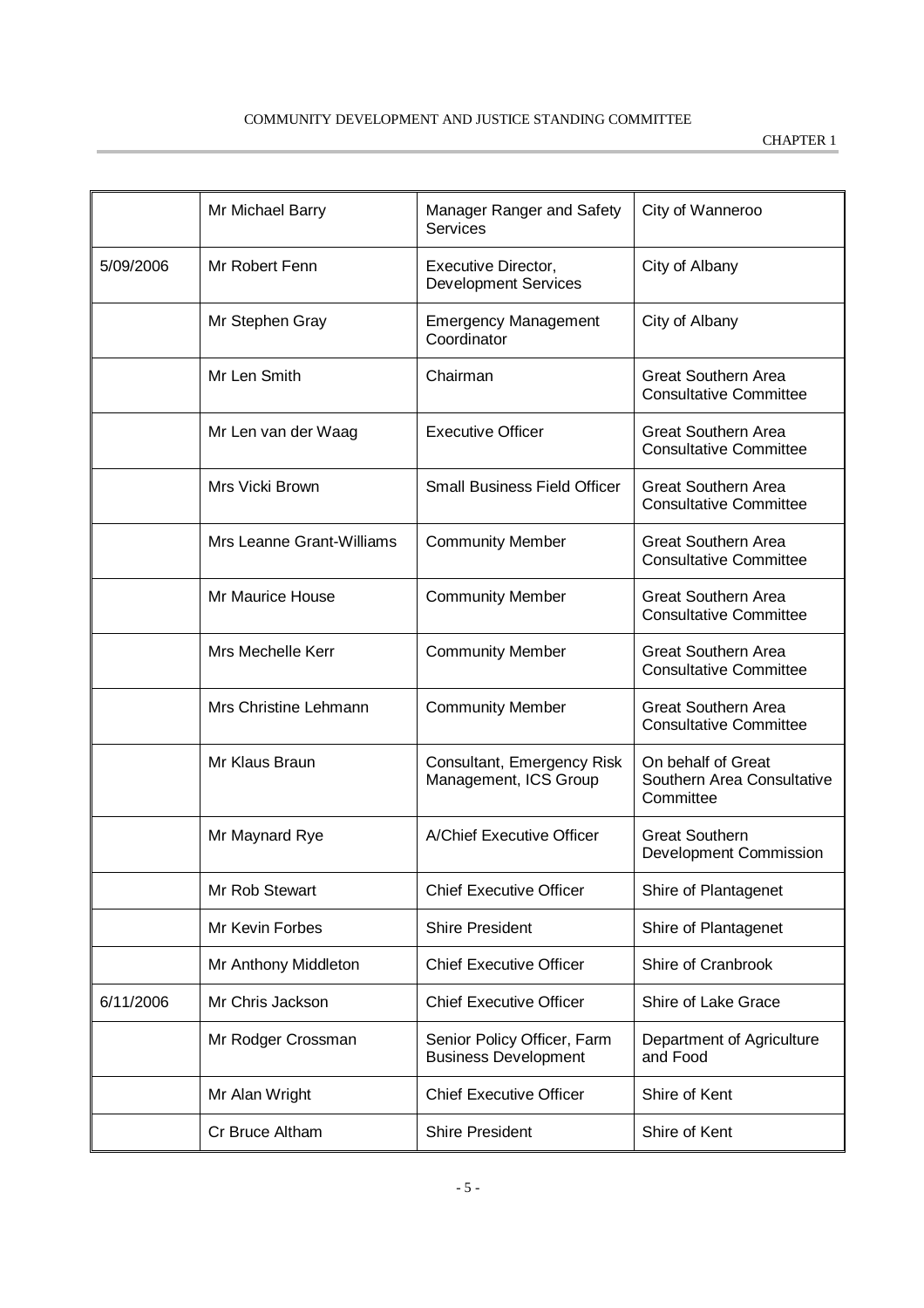|           | Mr Michael Barry          | Manager Ranger and Safety<br>Services                      | City of Wanneroo                                              |
|-----------|---------------------------|------------------------------------------------------------|---------------------------------------------------------------|
| 5/09/2006 | Mr Robert Fenn            | <b>Executive Director,</b><br><b>Development Services</b>  | City of Albany                                                |
|           | Mr Stephen Gray           | <b>Emergency Management</b><br>Coordinator                 | City of Albany                                                |
|           | Mr Len Smith              | Chairman                                                   | <b>Great Southern Area</b><br><b>Consultative Committee</b>   |
|           | Mr Len van der Waag       | <b>Executive Officer</b>                                   | <b>Great Southern Area</b><br><b>Consultative Committee</b>   |
|           | Mrs Vicki Brown           | <b>Small Business Field Officer</b>                        | <b>Great Southern Area</b><br><b>Consultative Committee</b>   |
|           | Mrs Leanne Grant-Williams | <b>Community Member</b>                                    | <b>Great Southern Area</b><br><b>Consultative Committee</b>   |
|           | Mr Maurice House          | <b>Community Member</b>                                    | <b>Great Southern Area</b><br><b>Consultative Committee</b>   |
|           | Mrs Mechelle Kerr         | <b>Community Member</b>                                    | <b>Great Southern Area</b><br><b>Consultative Committee</b>   |
|           | Mrs Christine Lehmann     | <b>Community Member</b>                                    | <b>Great Southern Area</b><br><b>Consultative Committee</b>   |
|           | Mr Klaus Braun            | Consultant, Emergency Risk<br>Management, ICS Group        | On behalf of Great<br>Southern Area Consultative<br>Committee |
|           | Mr Maynard Rye            | A/Chief Executive Officer                                  | <b>Great Southern</b><br>Development Commission               |
|           | Mr Rob Stewart            | <b>Chief Executive Officer</b>                             | Shire of Plantagenet                                          |
|           | Mr Kevin Forbes           | <b>Shire President</b>                                     | Shire of Plantagenet                                          |
|           | Mr Anthony Middleton      | <b>Chief Executive Officer</b>                             | Shire of Cranbrook                                            |
| 6/11/2006 | Mr Chris Jackson          | <b>Chief Executive Officer</b>                             | Shire of Lake Grace                                           |
|           | Mr Rodger Crossman        | Senior Policy Officer, Farm<br><b>Business Development</b> | Department of Agriculture<br>and Food                         |
|           | Mr Alan Wright            | <b>Chief Executive Officer</b>                             | Shire of Kent                                                 |
|           | Cr Bruce Altham           | <b>Shire President</b>                                     | Shire of Kent                                                 |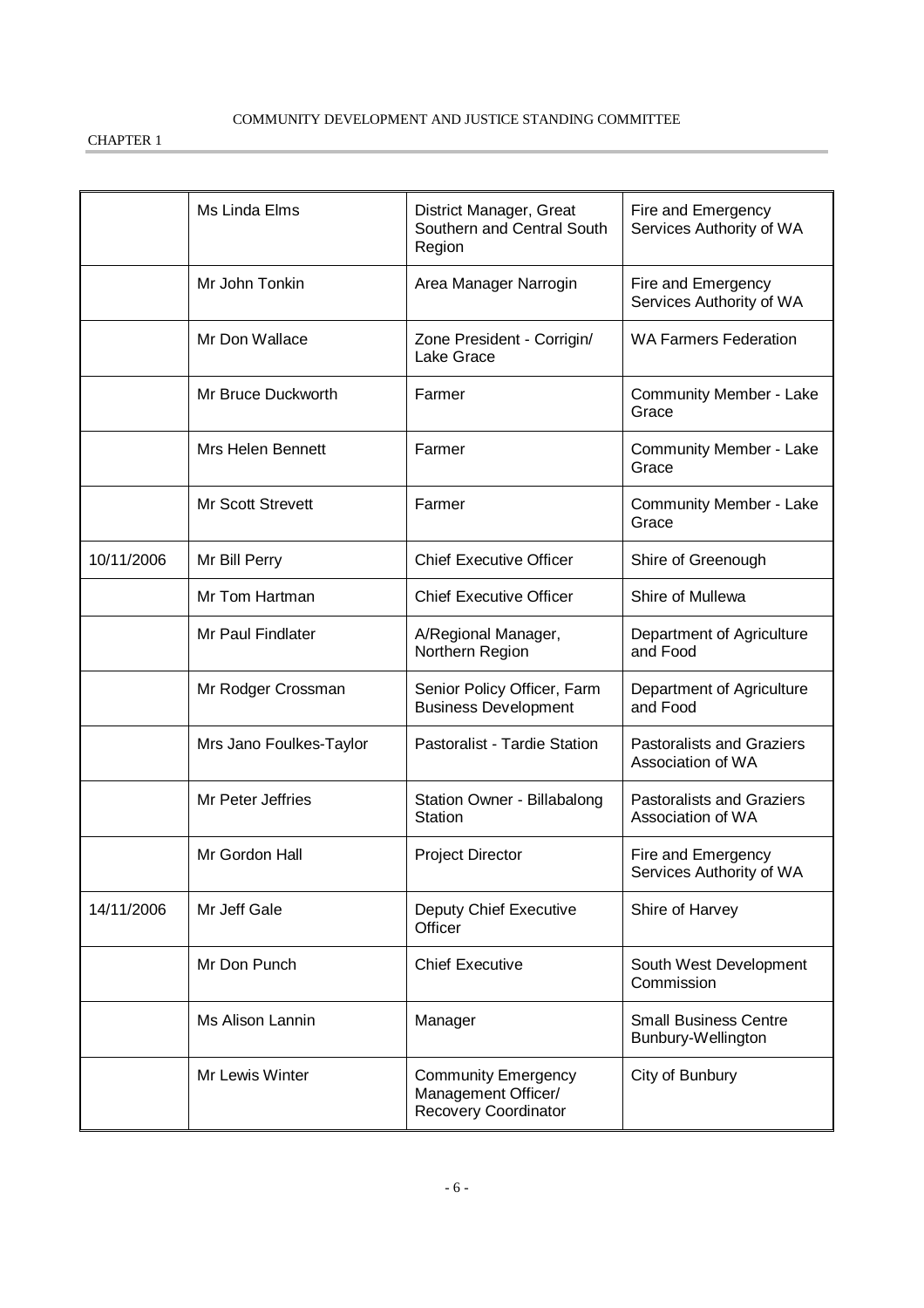|            | Ms Linda Elms            | District Manager, Great<br>Southern and Central South<br>Region           | Fire and Emergency<br>Services Authority of WA        |
|------------|--------------------------|---------------------------------------------------------------------------|-------------------------------------------------------|
|            | Mr John Tonkin           | Area Manager Narrogin                                                     | Fire and Emergency<br>Services Authority of WA        |
|            | Mr Don Wallace           | Zone President - Corrigin/<br>Lake Grace                                  | <b>WA Farmers Federation</b>                          |
|            | Mr Bruce Duckworth       | Farmer                                                                    | Community Member - Lake<br>Grace                      |
|            | <b>Mrs Helen Bennett</b> | Farmer                                                                    | Community Member - Lake<br>Grace                      |
|            | <b>Mr Scott Strevett</b> | Farmer                                                                    | Community Member - Lake<br>Grace                      |
| 10/11/2006 | Mr Bill Perry            | <b>Chief Executive Officer</b>                                            | Shire of Greenough                                    |
|            | Mr Tom Hartman           | <b>Chief Executive Officer</b>                                            | Shire of Mullewa                                      |
|            | Mr Paul Findlater        | A/Regional Manager,<br>Northern Region                                    | Department of Agriculture<br>and Food                 |
|            | Mr Rodger Crossman       | Senior Policy Officer, Farm<br><b>Business Development</b>                | Department of Agriculture<br>and Food                 |
|            | Mrs Jano Foulkes-Taylor  | Pastoralist - Tardie Station                                              | <b>Pastoralists and Graziers</b><br>Association of WA |
|            | Mr Peter Jeffries        | Station Owner - Billabalong<br>Station                                    | Pastoralists and Graziers<br>Association of WA        |
|            | Mr Gordon Hall           | <b>Project Director</b>                                                   | Fire and Emergency<br>Services Authority of WA        |
| 14/11/2006 | Mr Jeff Gale             | Deputy Chief Executive<br>Officer                                         | Shire of Harvey                                       |
|            | Mr Don Punch             | <b>Chief Executive</b>                                                    | South West Development<br>Commission                  |
|            | Ms Alison Lannin         | Manager                                                                   | <b>Small Business Centre</b><br>Bunbury-Wellington    |
|            | Mr Lewis Winter          | <b>Community Emergency</b><br>Management Officer/<br>Recovery Coordinator | City of Bunbury                                       |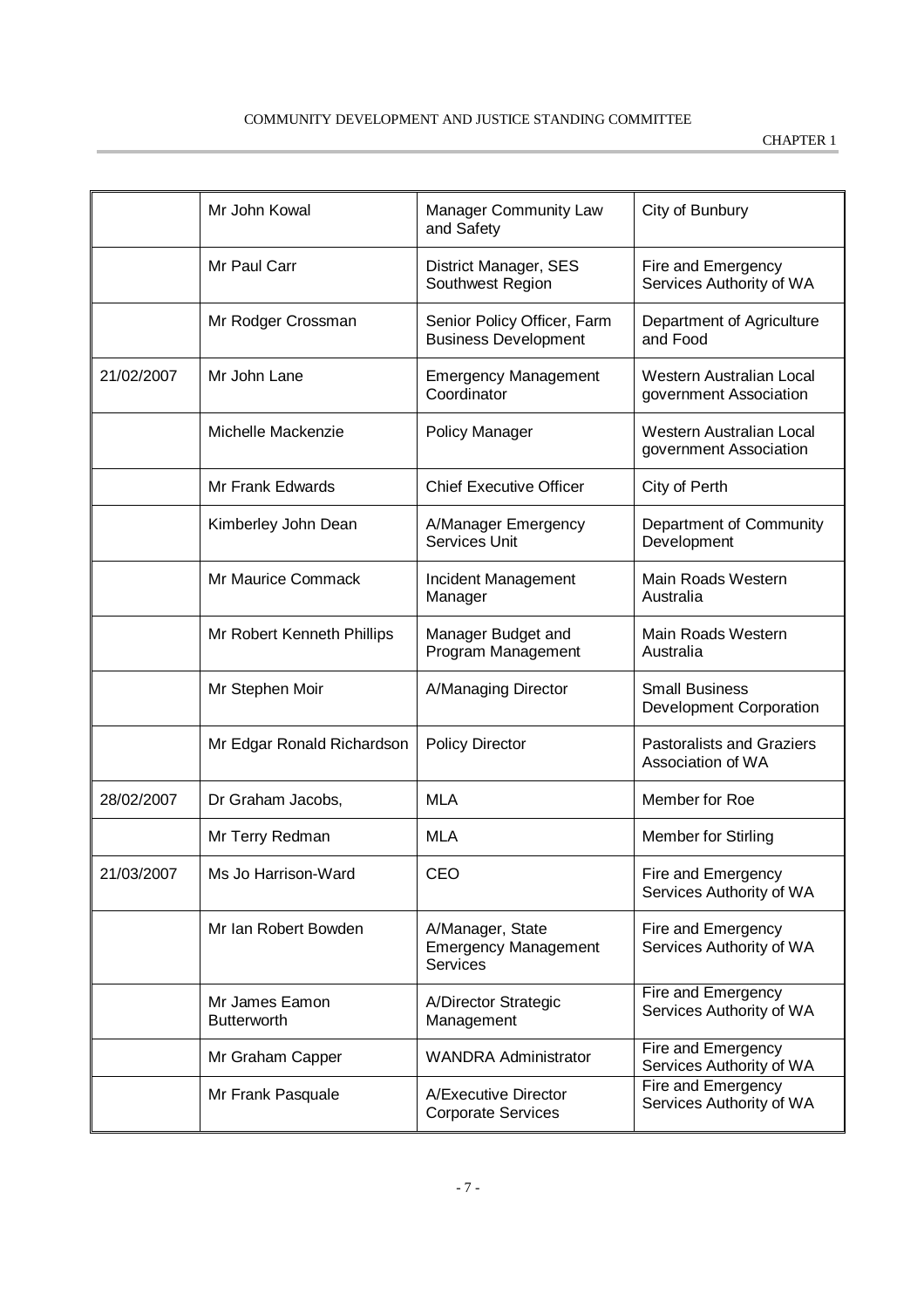|            | Mr John Kowal                        | <b>Manager Community Law</b><br>and Safety                  | City of Bunbury                                       |
|------------|--------------------------------------|-------------------------------------------------------------|-------------------------------------------------------|
|            | Mr Paul Carr                         | District Manager, SES<br>Southwest Region                   | Fire and Emergency<br>Services Authority of WA        |
|            | Mr Rodger Crossman                   | Senior Policy Officer, Farm<br><b>Business Development</b>  | Department of Agriculture<br>and Food                 |
| 21/02/2007 | Mr John Lane                         | <b>Emergency Management</b><br>Coordinator                  | Western Australian Local<br>government Association    |
|            | Michelle Mackenzie                   | Policy Manager                                              | Western Australian Local<br>government Association    |
|            | Mr Frank Edwards                     | <b>Chief Executive Officer</b>                              | City of Perth                                         |
|            | Kimberley John Dean                  | A/Manager Emergency<br><b>Services Unit</b>                 | Department of Community<br>Development                |
|            | Mr Maurice Commack                   | Incident Management<br>Manager                              | Main Roads Western<br>Australia                       |
|            | Mr Robert Kenneth Phillips           | Manager Budget and<br>Program Management                    | Main Roads Western<br>Australia                       |
|            | Mr Stephen Moir                      | A/Managing Director                                         | <b>Small Business</b><br>Development Corporation      |
|            | Mr Edgar Ronald Richardson           | <b>Policy Director</b>                                      | <b>Pastoralists and Graziers</b><br>Association of WA |
| 28/02/2007 | Dr Graham Jacobs,                    | <b>MLA</b>                                                  | Member for Roe                                        |
|            | Mr Terry Redman                      | <b>MLA</b>                                                  | <b>Member for Stirling</b>                            |
| 21/03/2007 | Ms Jo Harrison-Ward                  | CEO                                                         | Fire and Emergency<br>Services Authority of WA        |
|            | Mr Ian Robert Bowden                 | A/Manager, State<br><b>Emergency Management</b><br>Services | Fire and Emergency<br>Services Authority of WA        |
|            | Mr James Eamon<br><b>Butterworth</b> | A/Director Strategic<br>Management                          | Fire and Emergency<br>Services Authority of WA        |
|            | Mr Graham Capper                     | <b>WANDRA Administrator</b>                                 | Fire and Emergency<br>Services Authority of WA        |
|            | Mr Frank Pasquale                    | A/Executive Director<br><b>Corporate Services</b>           | Fire and Emergency<br>Services Authority of WA        |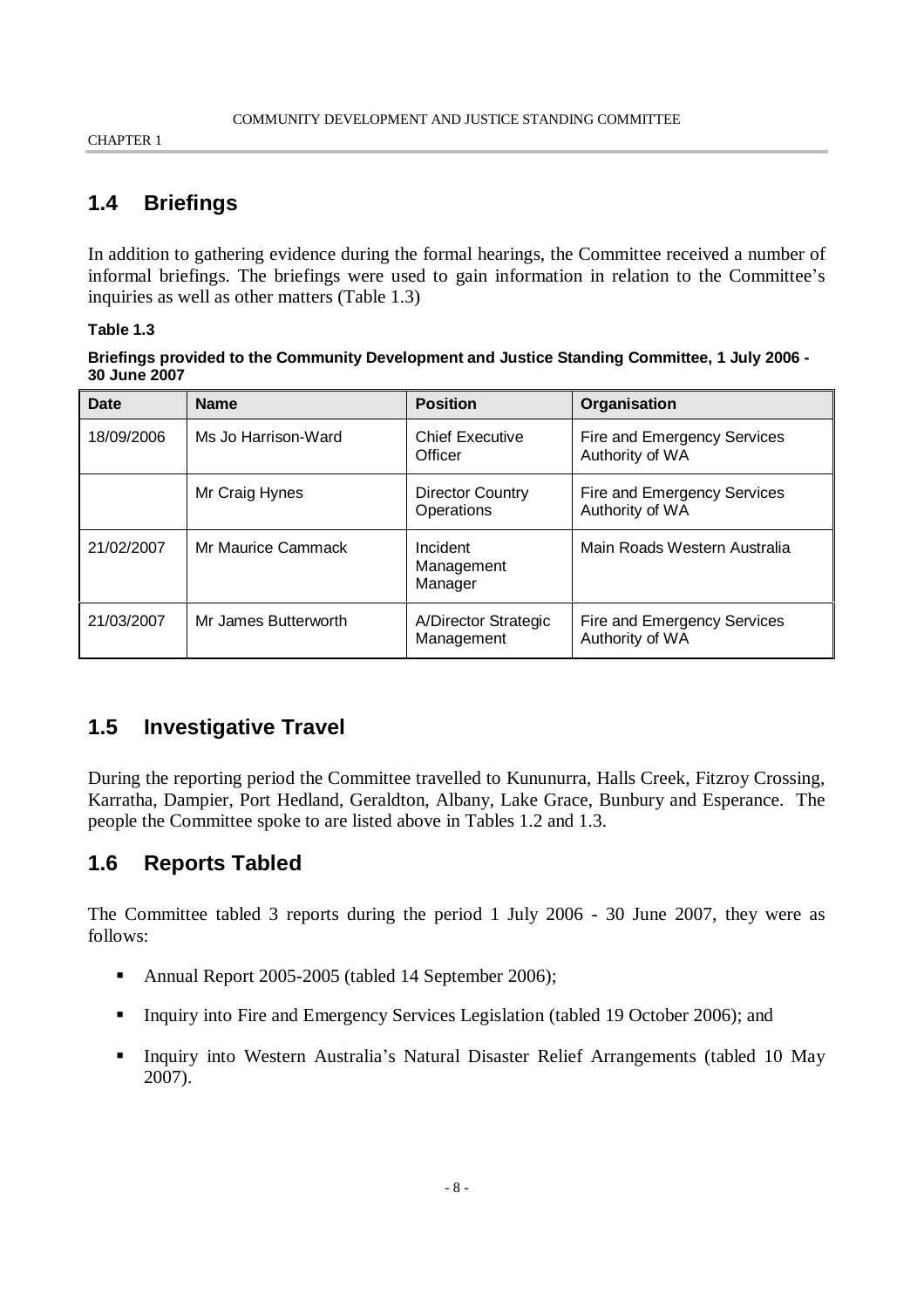### **1.4 Briefings**

In addition to gathering evidence during the formal hearings, the Committee received a number of informal briefings. The briefings were used to gain information in relation to the Committee's inquiries as well as other matters (Table 1.3)

#### **Table 1.3**

**Briefings provided to the Community Development and Justice Standing Committee, 1 July 2006 - 30 June 2007**

| Date       | <b>Name</b>          | <b>Position</b>                    | Organisation                                   |
|------------|----------------------|------------------------------------|------------------------------------------------|
| 18/09/2006 | Ms Jo Harrison-Ward  | <b>Chief Executive</b><br>Officer  | Fire and Emergency Services<br>Authority of WA |
|            | Mr Craig Hynes       | Director Country<br>Operations     | Fire and Emergency Services<br>Authority of WA |
| 21/02/2007 | Mr Maurice Cammack   | Incident<br>Management<br>Manager  | Main Roads Western Australia                   |
| 21/03/2007 | Mr James Butterworth | A/Director Strategic<br>Management | Fire and Emergency Services<br>Authority of WA |

### **1.5 Investigative Travel**

During the reporting period the Committee travelled to Kununurra, Halls Creek, Fitzroy Crossing, Karratha, Dampier, Port Hedland, Geraldton, Albany, Lake Grace, Bunbury and Esperance. The people the Committee spoke to are listed above in Tables 1.2 and 1.3.

### **1.6 Reports Tabled**

The Committee tabled 3 reports during the period 1 July 2006 - 30 June 2007, they were as follows:

- Annual Report 2005-2005 (tabled 14 September 2006);
- Inquiry into Fire and Emergency Services Legislation (tabled 19 October 2006); and
- Inquiry into Western Australia's Natural Disaster Relief Arrangements (tabled 10 May 2007).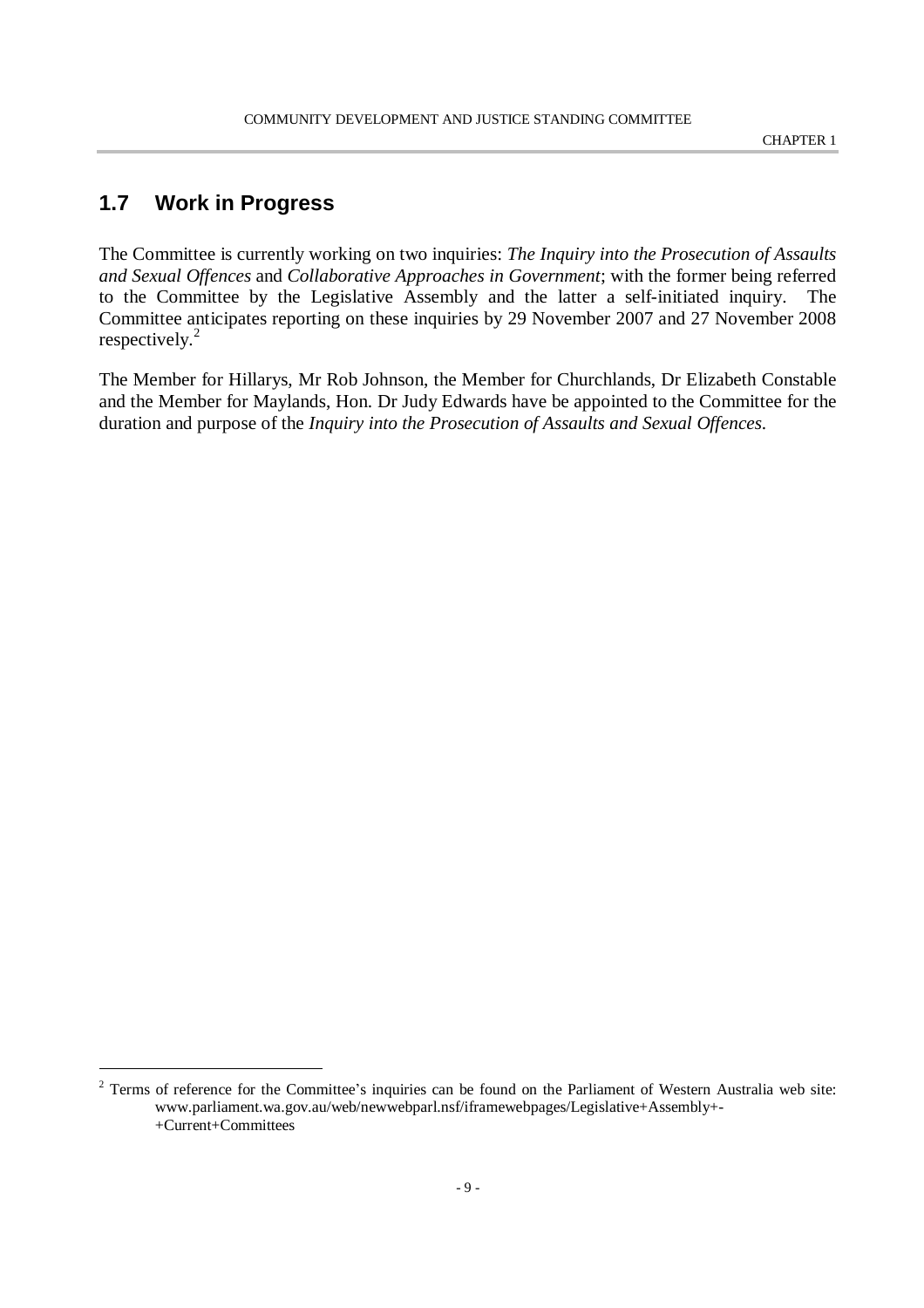### **1.7 Work in Progress**

The Committee is currently working on two inquiries: *The Inquiry into the Prosecution of Assaults and Sexual Offences* and *Collaborative Approaches in Government*; with the former being referred to the Committee by the Legislative Assembly and the latter a self-initiated inquiry. The Committee anticipates reporting on these inquiries by 29 November 2007 and 27 November 2008 respectively.<sup>2</sup>

The Member for Hillarys, Mr Rob Johnson, the Member for Churchlands, Dr Elizabeth Constable and the Member for Maylands, Hon. Dr Judy Edwards have be appointed to the Committee for the duration and purpose of the *Inquiry into the Prosecution of Assaults and Sexual Offences*.

 $2$  Terms of reference for the Committee's inquiries can be found on the Parliament of Western Australia web site: www.parliament.wa.gov.au/web/newwebparl.nsf/iframewebpages/Legislative+Assembly+- +Current+Committees